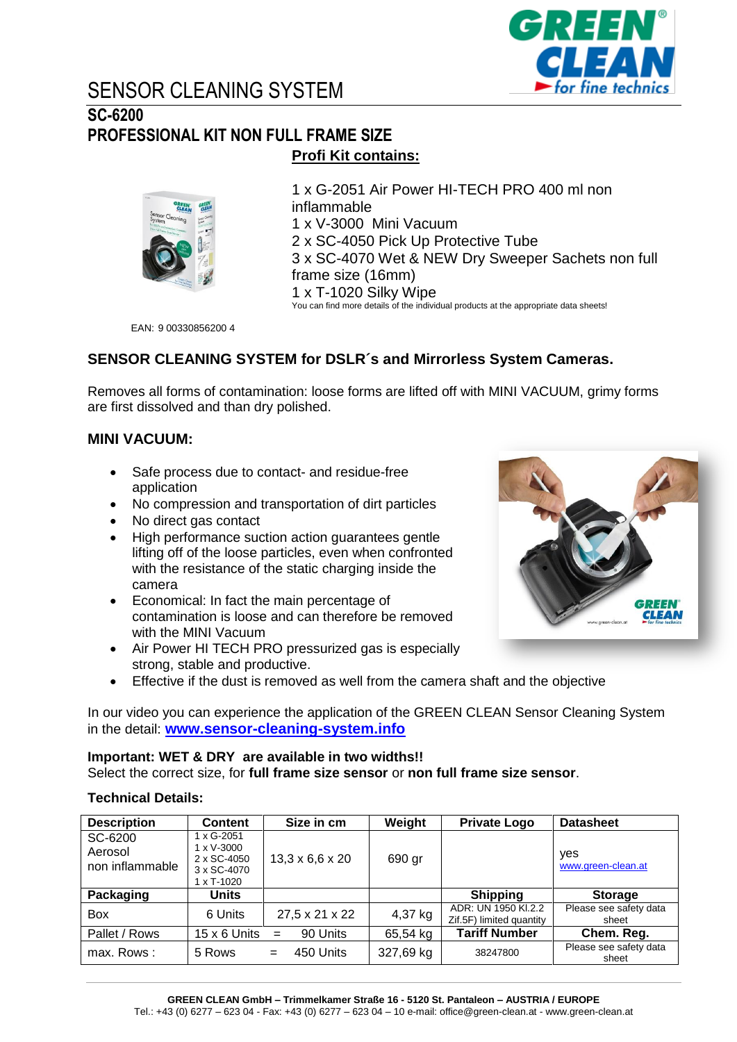

# SENSOR CLEANING SYSTEM

### **SC-6200 PROFESSIONAL KIT NON FULL FRAME SIZE Profi Kit contains:**



1 x G-2051 Air Power HI-TECH PRO 400 ml non inflammable 1 x V-3000 Mini Vacuum 2 x SC-4050 Pick Up Protective Tube 3 x SC-4070 Wet & NEW Dry Sweeper Sachets non full frame size (16mm) 1 x T-1020 Silky Wipe You can find more details of the individual products at the appropriate data sheets!

EAN: 9 00330856200 4

### **SENSOR CLEANING SYSTEM for DSLR´s and Mirrorless System Cameras.**

Removes all forms of contamination: loose forms are lifted off with MINI VACUUM, grimy forms are first dissolved and than dry polished.

### **MINI VACUUM:**

- Safe process due to contact- and residue-free application
- No compression and transportation of dirt particles
- No direct gas contact
- High performance suction action guarantees gentle lifting off of the loose particles, even when confronted with the resistance of the static charging inside the camera
- Economical: In fact the main percentage of contamination is loose and can therefore be removed with the MINI Vacuum
- Air Power HI TECH PRO pressurized gas is especially strong, stable and productive.
- Effective if the dust is removed as well from the camera shaft and the objective

In our video you can experience the application of the GREEN CLEAN Sensor Cleaning System in the detail: **[www.sensor-cleaning-system.info](http://www.sensor-cleaning-system.info/)**

### **Important: WET & DRY are available in two widths!!**

Select the correct size, for **full frame size sensor** or **non full frame size sensor**.

### **Technical Details:**

| <b>Description</b>                    | <b>Content</b>                                                                | Size in cm                  | Weight    | <b>Private Logo</b>                             | <b>Datasheet</b>                |
|---------------------------------------|-------------------------------------------------------------------------------|-----------------------------|-----------|-------------------------------------------------|---------------------------------|
| SC-6200<br>Aerosol<br>non inflammable | 1 x G-2051<br>1 x V-3000<br>2 x SC-4050<br>3 x SC-4070<br>$1 \times T - 1020$ | $13,3 \times 6,6 \times 20$ | 690 gr    |                                                 | yes<br>www.green-clean.at       |
| Packaging                             | Units                                                                         |                             |           | <b>Shipping</b>                                 | <b>Storage</b>                  |
| <b>Box</b>                            | 6 Units                                                                       | 27,5 x 21 x 22              | 4,37 kg   | ADR: UN 1950 KI.2.2<br>Zif.5F) limited quantity | Please see safety data<br>sheet |
| Pallet / Rows                         | 15 x 6 Units                                                                  | 90 Units<br>$=$             | 65,54 kg  | <b>Tariff Number</b>                            | Chem. Reg.                      |
| max. Rows:                            | 5 Rows                                                                        | 450 Units<br>$=$            | 327,69 kg | 38247800                                        | Please see safety data<br>sheet |